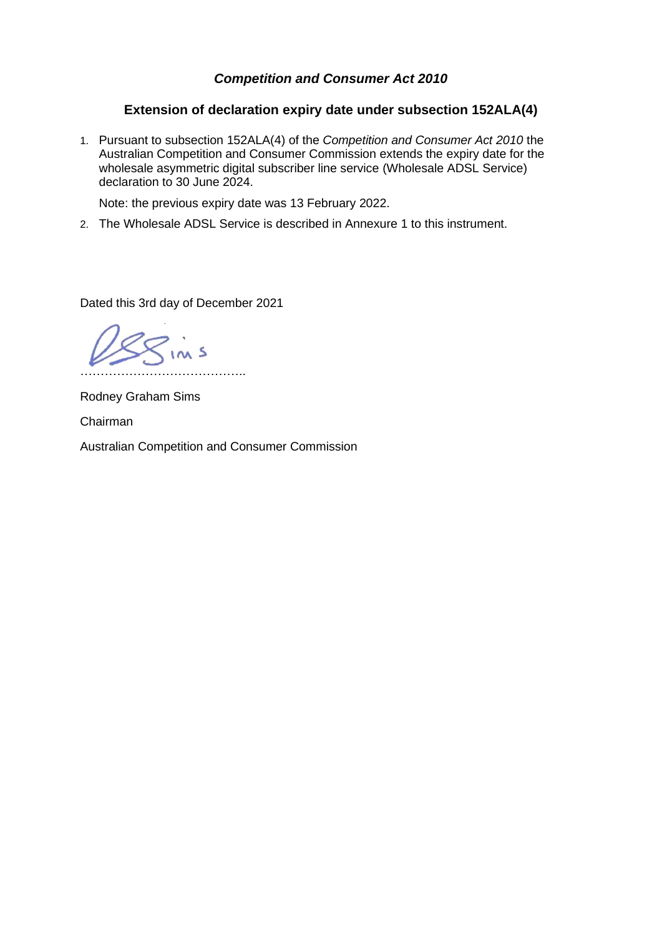## *Competition and Consumer Act 2010*

## **Extension of declaration expiry date under subsection 152ALA(4)**

1. Pursuant to subsection 152ALA(4) of the *Competition and Consumer Act 2010* the Australian Competition and Consumer Commission extends the expiry date for the wholesale asymmetric digital subscriber line service (Wholesale ADSL Service) declaration to 30 June 2024.

Note: the previous expiry date was 13 February 2022.

2. The Wholesale ADSL Service is described in Annexure 1 to this instrument.

Dated this 3rd day of December 2021

 $\frac{2}{1}$  in s …………………………………..

Rodney Graham Sims

Chairman

Australian Competition and Consumer Commission